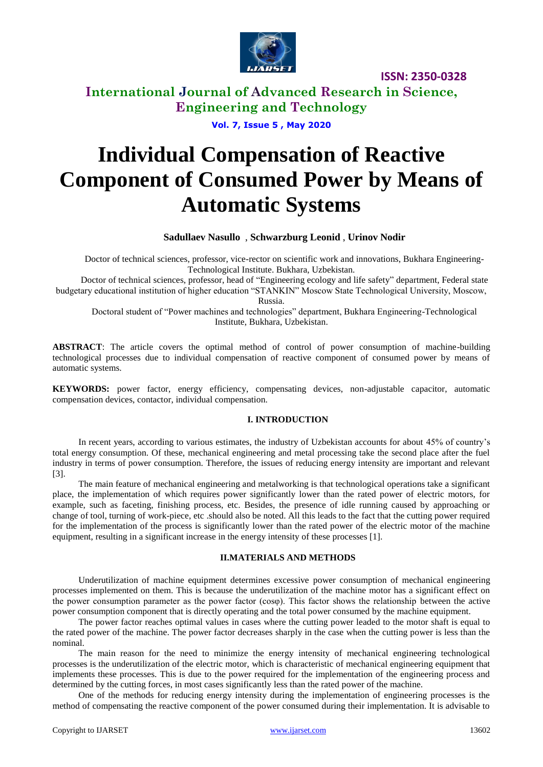

# **International Journal of Advanced Research in Science, Engineering and Technology**

**Vol. 7, Issue 5 , May 2020**

# **Individual Compensation of Reactive Component of Consumed Power by Means of Automatic Systems**

### **Sadullaev Nasullo** , **Schwarzburg Leonid** , **Urinov Nodir**

Doctor of technical sciences, professor, vice-rector on scientific work and innovations, Bukhara Engineering-Technological Institute. Bukhara, Uzbekistan.

Doctor of technical sciences, professor, head of "Engineering ecology and life safety" department, Federal state budgetary educational institution of higher education "STANKIN" Moscow State Technological University, Moscow, Russia.

Doctoral student of "Power machines and technologies" department, Bukhara Engineering-Technological Institute, Bukhara, Uzbekistan.

**ABSTRACT**: The article covers the optimal method of control of power consumption of machine-building technological processes due to individual compensation of reactive component of consumed power by means of automatic systems.

**KEYWORDS:** power factor, energy efficiency, compensating devices, non-adjustable capacitor, automatic compensation devices, contactor, individual compensation.

#### **I. INTRODUCTION**

In recent years, according to various estimates, the industry of Uzbekistan accounts for about 45% of country's total energy consumption. Of these, mechanical engineering and metal processing take the second place after the fuel industry in terms of power consumption. Therefore, the issues of reducing energy intensity are important and relevant [3].

The main feature of mechanical engineering and metalworking is that technological operations take a significant place, the implementation of which requires power significantly lower than the rated power of electric motors, for example, such as faceting, finishing process, etc. Besides, the presence of idle running caused by approaching or change of tool, turning of work-piece, etc .should also be noted. All this leads to the fact that the cutting power required for the implementation of the process is significantly lower than the rated power of the electric motor of the machine equipment, resulting in a significant increase in the energy intensity of these processes [1].

#### **II.MATERIALS AND METHODS**

Underutilization of machine equipment determines excessive power consumption of mechanical engineering processes implemented on them. This is because the underutilization of the machine motor has a significant effect on the power consumption parameter as the power factor (cosφ). This factor shows the relationship between the active power consumption component that is directly operating and the total power consumed by the machine equipment.

The power factor reaches optimal values in cases where the cutting power leaded to the motor shaft is equal to the rated power of the machine. The power factor decreases sharply in the case when the cutting power is less than the nominal.

The main reason for the need to minimize the energy intensity of mechanical engineering technological processes is the underutilization of the electric motor, which is characteristic of mechanical engineering equipment that implements these processes. This is due to the power required for the implementation of the engineering process and determined by the cutting forces, in most cases significantly less than the rated power of the machine.

One of the methods for reducing energy intensity during the implementation of engineering processes is the method of compensating the reactive component of the power consumed during their implementation. It is advisable to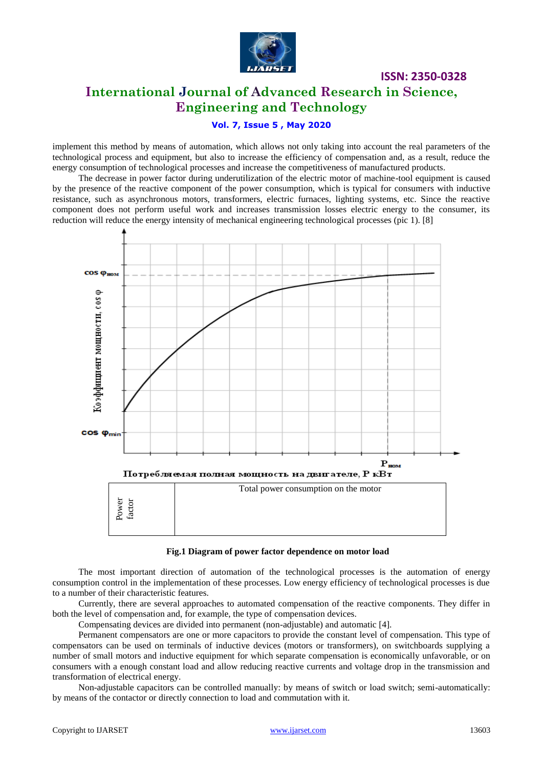

# **International Journal of Advanced Research in Science, Engineering and Technology**

**ISSN: 2350-0328**

### **Vol. 7, Issue 5 , May 2020**

implement this method by means of automation, which allows not only taking into account the real parameters of the technological process and equipment, but also to increase the efficiency of compensation and, as a result, reduce the energy consumption of technological processes and increase the competitiveness of manufactured products.

The decrease in power factor during underutilization of the electric motor of machine-tool equipment is caused by the presence of the reactive component of the power consumption, which is typical for consumers with inductive resistance, such as asynchronous motors, transformers, electric furnaces, lighting systems, etc. Since the reactive component does not perform useful work and increases transmission losses electric energy to the consumer, its reduction will reduce the energy intensity of mechanical engineering technological processes (pic 1). [8]



#### **Fig.1 Diagram of power factor dependence on motor load**

The most important direction of automation of the technological processes is the automation of energy consumption control in the implementation of these processes. Low energy efficiency of technological processes is due to a number of their characteristic features.

Currently, there are several approaches to automated compensation of the reactive components. They differ in both the level of compensation and, for example, the type of compensation devices.

Compensating devices are divided into permanent (non-adjustable) and automatic [4].

Permanent compensators are one or more capacitors to provide the constant level of compensation. This type of compensators can be used on terminals of inductive devices (motors or transformers), on switchboards supplying a number of small motors and inductive equipment for which separate compensation is economically unfavorable, or on consumers with a enough constant load and allow reducing reactive currents and voltage drop in the transmission and transformation of electrical energy.

Non-adjustable capacitors can be controlled manually: by means of switch or load switch; semi-automatically: by means of the contactor or directly connection to load and commutation with it.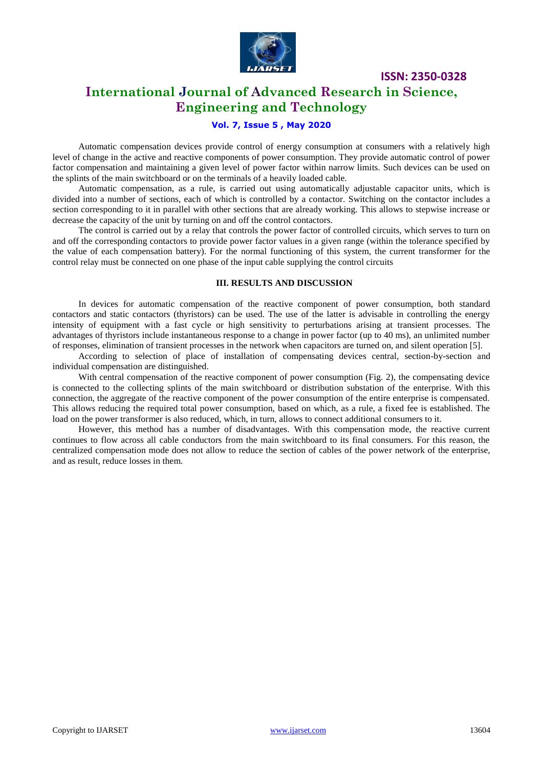

# **International Journal of Advanced Research in Science, Engineering and Technology**

### **Vol. 7, Issue 5 , May 2020**

Automatic compensation devices provide control of energy consumption at consumers with a relatively high level of change in the active and reactive components of power consumption. They provide automatic control of power factor compensation and maintaining a given level of power factor within narrow limits. Such devices can be used on the splints of the main switchboard or on the terminals of a heavily loaded cable.

Automatic compensation, as a rule, is carried out using automatically adjustable capacitor units, which is divided into a number of sections, each of which is controlled by a contactor. Switching on the contactor includes a section corresponding to it in parallel with other sections that are already working. This allows to stepwise increase or decrease the capacity of the unit by turning on and off the control contactors.

The control is carried out by a relay that controls the power factor of controlled circuits, which serves to turn on and off the corresponding contactors to provide power factor values in a given range (within the tolerance specified by the value of each compensation battery). For the normal functioning of this system, the current transformer for the control relay must be connected on one phase of the input cable supplying the control circuits

#### **III. RESULTS AND DISCUSSION**

In devices for automatic compensation of the reactive component of power consumption, both standard contactors and static contactors (thyristors) can be used. The use of the latter is advisable in controlling the energy intensity of equipment with a fast cycle or high sensitivity to perturbations arising at transient processes. The advantages of thyristors include instantaneous response to a change in power factor (up to 40 ms), an unlimited number of responses, elimination of transient processes in the network when capacitors are turned on, and silent operation [5].

According to selection of place of installation of compensating devices central, section-by-section and individual compensation are distinguished.

With central compensation of the reactive component of power consumption (Fig. 2), the compensating device is connected to the collecting splints of the main switchboard or distribution substation of the enterprise. With this connection, the aggregate of the reactive component of the power consumption of the entire enterprise is compensated. This allows reducing the required total power consumption, based on which, as a rule, a fixed fee is established. The load on the power transformer is also reduced, which, in turn, allows to connect additional consumers to it.

However, this method has a number of disadvantages. With this compensation mode, the reactive current continues to flow across all cable conductors from the main switchboard to its final consumers. For this reason, the centralized compensation mode does not allow to reduce the section of cables of the power network of the enterprise, and as result, reduce losses in them.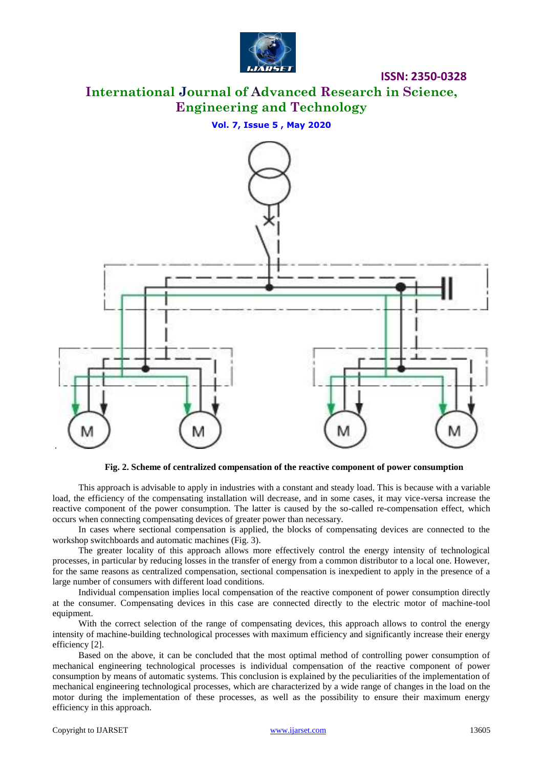

**International Journal of Advanced Research in Science, Engineering and Technology**

**Vol. 7, Issue 5 , May 2020**



**Fig. 2. Scheme of centralized compensation of the reactive component of power consumption**

This approach is advisable to apply in industries with a constant and steady load. This is because with a variable load, the efficiency of the compensating installation will decrease, and in some cases, it may vice-versa increase the reactive component of the power consumption. The latter is caused by the so-called re-compensation effect, which occurs when connecting compensating devices of greater power than necessary.

In cases where sectional compensation is applied, the blocks of compensating devices are connected to the workshop switchboards and automatic machines (Fig. 3).

The greater locality of this approach allows more effectively control the energy intensity of technological processes, in particular by reducing losses in the transfer of energy from a common distributor to a local one. However, for the same reasons as centralized compensation, sectional compensation is inexpedient to apply in the presence of a large number of consumers with different load conditions.

Individual compensation implies local compensation of the reactive component of power consumption directly at the consumer. Compensating devices in this case are connected directly to the electric motor of machine-tool equipment.

With the correct selection of the range of compensating devices, this approach allows to control the energy intensity of machine-building technological processes with maximum efficiency and significantly increase their energy efficiency [2].

Based on the above, it can be concluded that the most optimal method of controlling power consumption of mechanical engineering technological processes is individual compensation of the reactive component of power consumption by means of automatic systems. This conclusion is explained by the peculiarities of the implementation of mechanical engineering technological processes, which are characterized by a wide range of changes in the load on the motor during the implementation of these processes, as well as the possibility to ensure their maximum energy efficiency in this approach.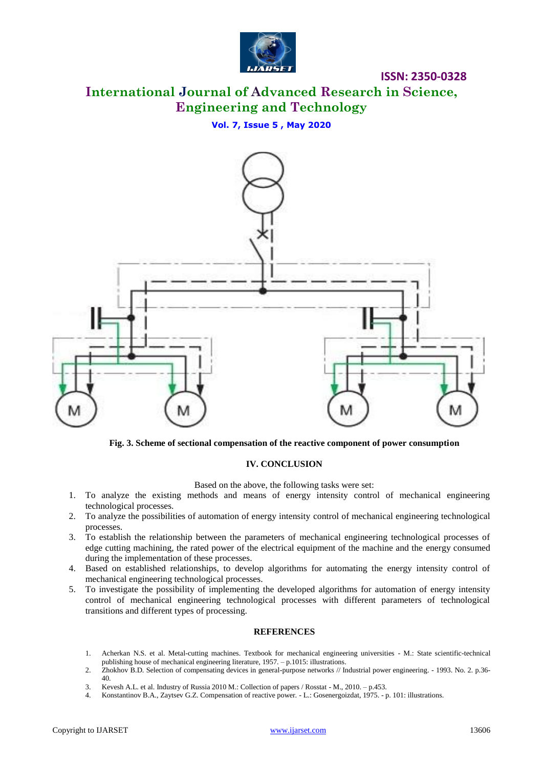

# **International Journal of Advanced Research in Science, Engineering and Technology**

#### **Vol. 7, Issue 5 , May 2020**



**Fig. 3. Scheme of sectional compensation of the reactive component of power consumption**

### **IV. CONCLUSION**

Based on the above, the following tasks were set:

- 1. To analyze the existing methods and means of energy intensity control of mechanical engineering technological processes.
- 2. To analyze the possibilities of automation of energy intensity control of mechanical engineering technological processes.
- 3. To establish the relationship between the parameters of mechanical engineering technological processes of edge cutting machining, the rated power of the electrical equipment of the machine and the energy consumed during the implementation of these processes.
- 4. Based on established relationships, to develop algorithms for automating the energy intensity control of mechanical engineering technological processes.
- 5. To investigate the possibility of implementing the developed algorithms for automation of energy intensity control of mechanical engineering technological processes with different parameters of technological transitions and different types of processing.

#### **REFERENCES**

- 1. Acherkan N.S. et al. Metal-cutting machines. Textbook for mechanical engineering universities M.: State scientific-technical publishing house of mechanical engineering literature, 1957. – p.1015: illustrations.
- 2. Zhokhov B.D. Selection of compensating devices in general-purpose networks // Industrial power engineering. 1993. No. 2. p.36- 40.
- 3. Kevesh A.L. et al. Industry of Russia 2010 M.: Collection of papers / Rosstat M., 2010. p.453.
- 4. Konstantinov B.A., Zaytsev G.Z. Compensation of reactive power. L.: Gosenergoizdat, 1975. p. 101: illustrations.